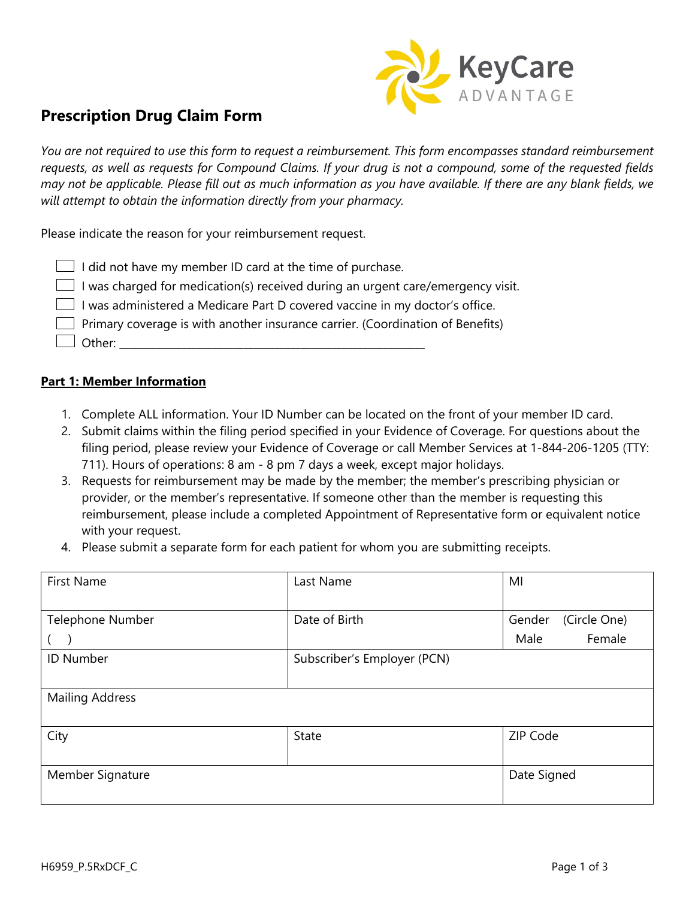

# **Prescription Drug Claim Form**

*You are not required to use this form to request a reimbursement. This form encompasses standard reimbursement requests, as well as requests for Compound Claims. If your drug is not a compound, some of the requested fields may not be applicable. Please fill out as much information as you have available. If there are any blank fields, we will attempt to obtain the information directly from your pharmacy.*

Please indicate the reason for your reimbursement request.

|  | $\Box$ I did not have my member ID card at the time of purchase.                       |  |  |  |  |  |  |  |  |  |  |
|--|----------------------------------------------------------------------------------------|--|--|--|--|--|--|--|--|--|--|
|  | $\Box$ I was charged for medication(s) received during an urgent care/emergency visit. |  |  |  |  |  |  |  |  |  |  |
|  |                                                                                        |  |  |  |  |  |  |  |  |  |  |

I was administered a Medicare Part D covered vaccine in my doctor's office.

 $\Box$  Primary coverage is with another insurance carrier. (Coordination of Benefits)

 $\Box$  Other:

#### **Part 1: Member Information**

- 1. Complete ALL information. Your ID Number can be located on the front of your member ID card.
- 2. Submit claims within the filing period specified in your Evidence of Coverage. For questions about the filing period, please review your Evidence of Coverage or call Member Services at 1-844-206-1205 (TTY: 711). Hours of operations: 8 am - 8 pm 7 days a week, except major holidays.
- 3. Requests for reimbursement may be made by the member; the member's prescribing physician or provider, or the member's representative. If someone other than the member is requesting this reimbursement, please include a completed Appointment of Representative form or equivalent notice with your request.
- 4. Please submit a separate form for each patient for whom you are submitting receipts.

| <b>First Name</b>      | Last Name                   | MI                     |  |  |  |
|------------------------|-----------------------------|------------------------|--|--|--|
|                        |                             |                        |  |  |  |
| Telephone Number       | Date of Birth               | (Circle One)<br>Gender |  |  |  |
|                        |                             | Female<br>Male         |  |  |  |
| ID Number              | Subscriber's Employer (PCN) |                        |  |  |  |
|                        |                             |                        |  |  |  |
| <b>Mailing Address</b> |                             |                        |  |  |  |
|                        |                             |                        |  |  |  |
| City                   | <b>State</b>                | ZIP Code               |  |  |  |
|                        |                             |                        |  |  |  |
| Member Signature       |                             | Date Signed            |  |  |  |
|                        |                             |                        |  |  |  |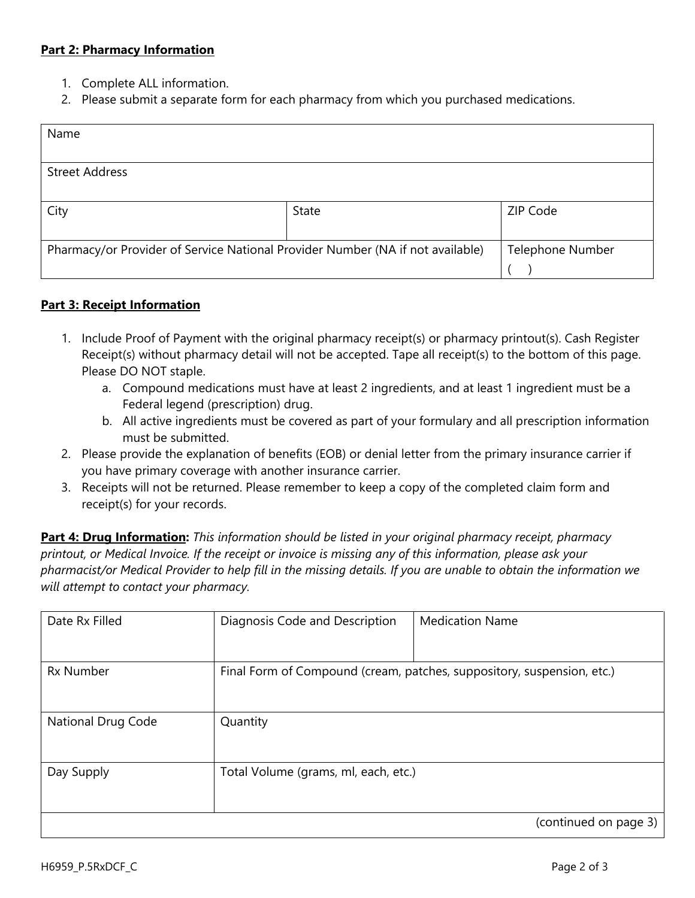#### **Part 2: Pharmacy Information**

- 1. Complete ALL information.
- 2. Please submit a separate form for each pharmacy from which you purchased medications.

| Name                                                                                                      |                       |          |  |  |  |  |  |  |  |
|-----------------------------------------------------------------------------------------------------------|-----------------------|----------|--|--|--|--|--|--|--|
|                                                                                                           |                       |          |  |  |  |  |  |  |  |
|                                                                                                           | <b>Street Address</b> |          |  |  |  |  |  |  |  |
|                                                                                                           |                       |          |  |  |  |  |  |  |  |
| City                                                                                                      | State                 | ZIP Code |  |  |  |  |  |  |  |
|                                                                                                           |                       |          |  |  |  |  |  |  |  |
| Pharmacy/or Provider of Service National Provider Number (NA if not available)<br><b>Telephone Number</b> |                       |          |  |  |  |  |  |  |  |
|                                                                                                           |                       |          |  |  |  |  |  |  |  |

## **Part 3: Receipt Information**

- 1. Include Proof of Payment with the original pharmacy receipt(s) or pharmacy printout(s). Cash Register Receipt(s) without pharmacy detail will not be accepted. Tape all receipt(s) to the bottom of this page. Please DO NOT staple.
	- a. Compound medications must have at least 2 ingredients, and at least 1 ingredient must be a Federal legend (prescription) drug.
	- b. All active ingredients must be covered as part of your formulary and all prescription information must be submitted.
- 2. Please provide the explanation of benefits (EOB) or denial letter from the primary insurance carrier if you have primary coverage with another insurance carrier.
- 3. Receipts will not be returned. Please remember to keep a copy of the completed claim form and receipt(s) for your records.

**Part 4: Drug Information:** *This information should be listed in your original pharmacy receipt, pharmacy printout, or Medical Invoice. If the receipt or invoice is missing any of this information, please ask your pharmacist/or Medical Provider to help fill in the missing details. If you are unable to obtain the information we will attempt to contact your pharmacy.*

| Date Rx Filled     | Diagnosis Code and Description       | <b>Medication Name</b>                                                 |
|--------------------|--------------------------------------|------------------------------------------------------------------------|
| <b>Rx Number</b>   |                                      | Final Form of Compound (cream, patches, suppository, suspension, etc.) |
| National Drug Code | Quantity                             |                                                                        |
| Day Supply         | Total Volume (grams, ml, each, etc.) |                                                                        |
|                    |                                      | (continued on page 3)                                                  |